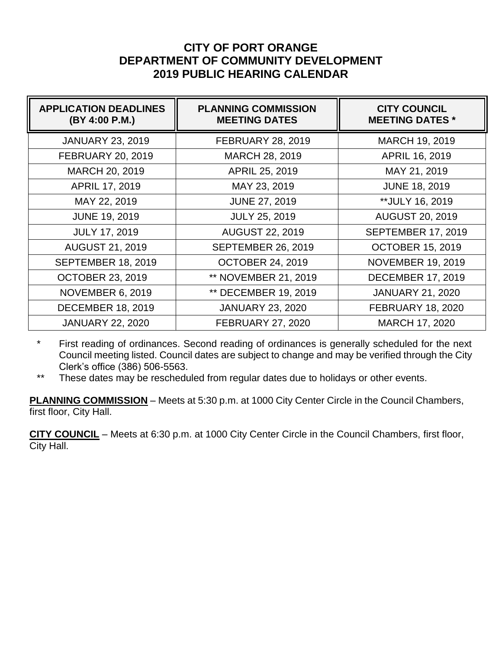## **CITY OF PORT ORANGE DEPARTMENT OF COMMUNITY DEVELOPMENT 2019 PUBLIC HEARING CALENDAR**

| <b>APPLICATION DEADLINES</b><br>(BY 4:00 P.M.) | <b>PLANNING COMMISSION</b><br><b>MEETING DATES</b> | <b>CITY COUNCIL</b><br><b>MEETING DATES *</b> |
|------------------------------------------------|----------------------------------------------------|-----------------------------------------------|
| <b>JANUARY 23, 2019</b>                        | <b>FEBRUARY 28, 2019</b>                           | MARCH 19, 2019                                |
| <b>FEBRUARY 20, 2019</b>                       | MARCH 28, 2019                                     | <b>APRIL 16, 2019</b>                         |
| MARCH 20, 2019                                 | APRIL 25, 2019                                     | MAY 21, 2019                                  |
| APRIL 17, 2019                                 | MAY 23, 2019                                       | <b>JUNE 18, 2019</b>                          |
| MAY 22, 2019                                   | <b>JUNE 27, 2019</b>                               | **JULY 16, 2019                               |
| <b>JUNE 19, 2019</b>                           | <b>JULY 25, 2019</b>                               | <b>AUGUST 20, 2019</b>                        |
| <b>JULY 17, 2019</b>                           | <b>AUGUST 22, 2019</b>                             | <b>SEPTEMBER 17, 2019</b>                     |
| <b>AUGUST 21, 2019</b>                         | <b>SEPTEMBER 26, 2019</b>                          | <b>OCTOBER 15, 2019</b>                       |
| <b>SEPTEMBER 18, 2019</b>                      | <b>OCTOBER 24, 2019</b>                            | <b>NOVEMBER 19, 2019</b>                      |
| <b>OCTOBER 23, 2019</b>                        | <b>** NOVEMBER 21, 2019</b>                        | <b>DECEMBER 17, 2019</b>                      |
| <b>NOVEMBER 6, 2019</b>                        | <b>** DECEMBER 19, 2019</b>                        | <b>JANUARY 21, 2020</b>                       |
| <b>DECEMBER 18, 2019</b>                       | <b>JANUARY 23, 2020</b>                            | <b>FEBRUARY 18, 2020</b>                      |
| <b>JANUARY 22, 2020</b>                        | <b>FEBRUARY 27, 2020</b>                           | <b>MARCH 17, 2020</b>                         |

\* First reading of ordinances. Second reading of ordinances is generally scheduled for the next Council meeting listed. Council dates are subject to change and may be verified through the City Clerk's office (386) 506-5563.

\*\* These dates may be rescheduled from regular dates due to holidays or other events.

**PLANNING COMMISSION** – Meets at 5:30 p.m. at 1000 City Center Circle in the Council Chambers, first floor, City Hall.

**CITY COUNCIL** – Meets at 6:30 p.m. at 1000 City Center Circle in the Council Chambers, first floor, City Hall.